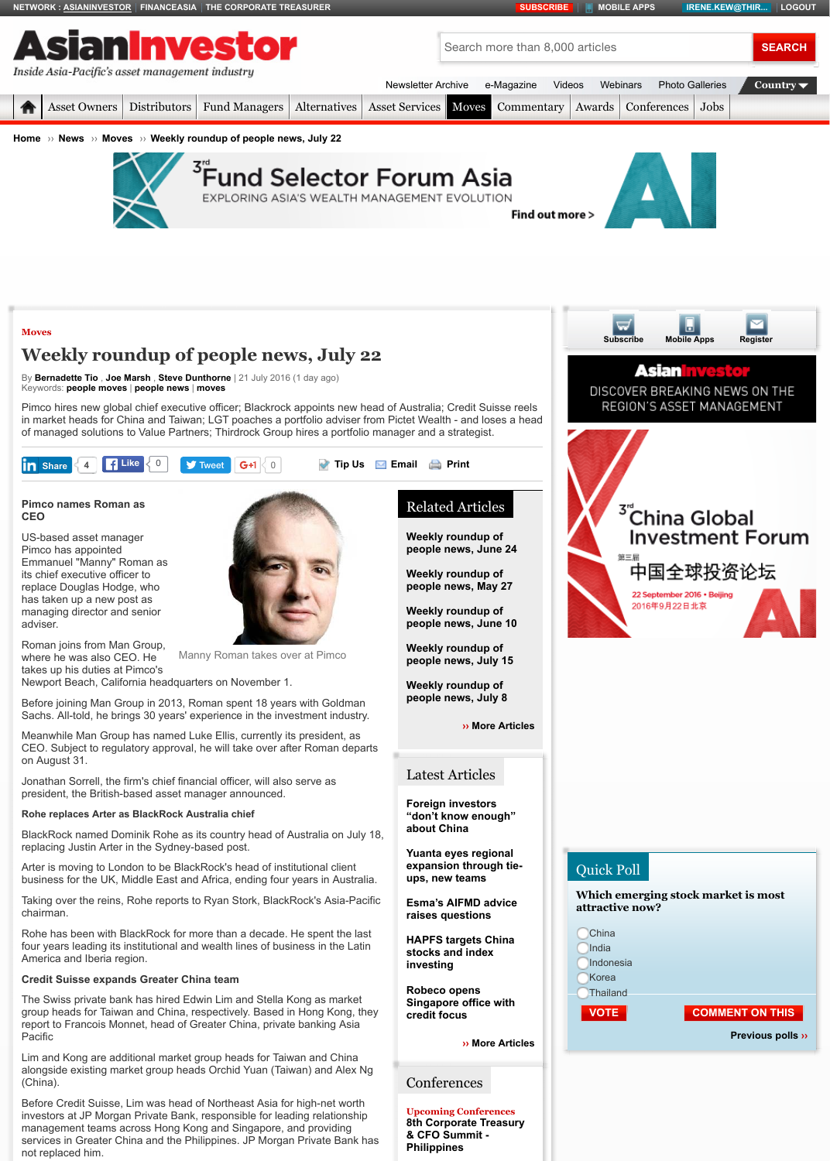#### **Pimco [names Roman](http://www.asianinvestor.net/) a[s](http://www.financeasia.com/) CEO**

US-based asset manager Pimco has appointed Emmanuel "Manny" Roman as its chief executive officer to replace Douglas Hodge, who has taken up a new post as [man](http://www.asianinvestor.net/Default.aspx)[aging director an](http://www.asianinvestor.net/Category/208,asset-owners.aspx)[d senior](http://www.asianinvestor.net/Category/209,distributors.aspx) adviser.

[Rom](http://www.asianinvestor.net/)an [joins f](http://www.asianinvestor.net/News)ro[m Man G](http://www.asianinvestor.net/News/Category/113,moves.aspx)r[oup,](http://www.asianinvestor.net/News/428007,weekly-roundup-of-people-news-july-22.aspx?eid=14&edate=20160722&utm_source=20160722&utm_medium=newsletter&utm_campaign=peoplenews_newsletter) where he was also CEO. He takes up his duties at Pimco's



Manny Roman takes over at Pimco

Newport Beach, California headquarters on November 1.

Before joining Man Group in 2013, Roman spent 18 years with Goldman Sachs. All-told, he [brings 30 years' experience in the investment industry.](http://googleads.g.doubleclick.net/pcs/click?xai=AKAOjsv5EjS-8ABDGQGRqHtJjveNyjs22rv1xYHDqE8K0Cqb3UShrzLujD0LZj38L13X5U_OojpVyWQqCN7oeCtqQyrc-cZv0LVMMXaAAitK1um4TavNUcldaVRSHWlcV09RCK-TLXPeocUmvEIkh1G46FXRMI7XapBiFmk7PN1BxThYprwMujzS-TIu--ppxIp2HY3eioe8XqskdsdRD-I4OUgcn03UITisQ9VYgWfSllwSwWwISN7_oqDaYGQ75lo&sig=Cg0ArKJSzKCNPgwXXpQV&adurl=http://fundselectorforum.asia/%3Futm_source%3Dfsfa_web%26utm_medium%3Dbanner%26utm_campaign%3Dfsfa_2016%26utm_content%3DLB)

Meanwhile Man Group has named Luke Ellis, currently its president, as CEO. Subject to regulatory approval, he will take over after Roman departs on August 31.

Jonathan Sorrell, the firm's chief financial officer, will also serve as president, the British-based asset manager announced.

## **Rohe replaces Arter as BlackRock Australia chief**

[BlackR](http://www.asianinvestor.net/Category/113,moves.aspx)ock named Dominik Rohe as its country head of Australia on July 18, replacing Justin Arter in the Sydney-based post.

Arter is moving to London to be BlackRock's head of institutional client bu[siness for the](http://www.asianinvestor.net/Author/718433,bernadette--tio.aspx) [UK, Middle](http://www.asianinvestor.net/Author/219244,joe-marsh.aspx) [East and Africa,](http://www.asianinvestor.net/Author/879184,steve-dunthorne.aspx) ending four years in Australia.

Taking o[ver the reins, R](http://www.asianinvestor.net/Tag/people_moves.aspx)[ohe reports](http://www.asianinvestor.net/Tag/people_news.aspx) t[o Ryan](http://www.asianinvestor.net/Tag/moves.aspx) Stork, BlackRock's Asia-Pacific chairman.

Rohe has been with BlackRock for more than a decade. He spent the last four years leading its institutional and wealth lines of business in the Latin America and Iberia region.

## **[Credit Sui](javascript:void(0);)sse expands Greater [China team](https://twitter.com/intent/tweet?ref_src=twsrc%5Etfw&text=Weekly%20roundup%20of%20people%20news%2C%20July%2022&tw_p=tweetbutton&url=http%3A%2F%2Fwww.asianinvestor.net%2FNews%2F428007%2Cweekly-roundup-of-people-news-july-22.aspx&via=AsianInvestor)**

The Swiss private bank has hired Edwin Lim and Stella Kong as market group heads for Taiwan and China, respectively. Based in Hong Kong, they report to Francois Monnet, head of Greater China, private banking Asia **Pacific** 

Lim and Kong are additional market group heads for Taiwan and China alongside existing market group heads Orchid Yuan (Taiwan) and Alex Ng (China).

Before Credit Suisse, Lim was head of Northeast Asia for high-net worth investors at JP Morgan Private Bank, responsible for leading relationship management teams across Hong Kong and Singapore, and providing services in Greater China and th[e Philippines. JP Morgan Private Bank has](http://cdn.i.haymarketmedia.asia/?n=asian-investor%2fcontent%2f20160722073411_Manny_Roman_300dpi.jpg) not replaced him.

#### Related Articles

**Weekly roundup of people news, June 24**

**Weekly roundup of [people news](http://www.asianinvestor.net/Newsletter/), [May 27](http://www.asianinvestor.net/e-Magazine/)**

**[Weekly](http://www.asianinvestor.net/Category/119,asset-services.aspx) [roundup](http://www.asianinvestor.net/Category/113,moves.aspx) of people news, June** 

**Weekly roundup of people news, July 15**

**Weekly roundup of people news, July 8**

**›› More A** 

# Latest Articles

**Foreign investors** "don't know enougl **about China**

**Yuanta eyes regiona** expansion through **ups, new teams**

**Esma's AIFMD advi raises questions**

**HAPFS targets Chir stocks and index [inv](http://www.asianinvestor.net/Tools/Email.aspx?CIID=428007)esti[ng](http://www.asianinvestor.net/Tools/Print.aspx?CIID=428007)**

**Robeco opens Singapore office with credit focus**

**›** More A

# **[Conferences](http://www.asianinvestor.net/News/425093,weekly-roundup-of-people-news-may-27.aspx)**

**Upcoming Conference 8th Corporate Treas & CFO Summit - [Philippines](http://www.asianinvestor.net/News/427810,weekly-roundup-of-people-news-july-15.aspx)**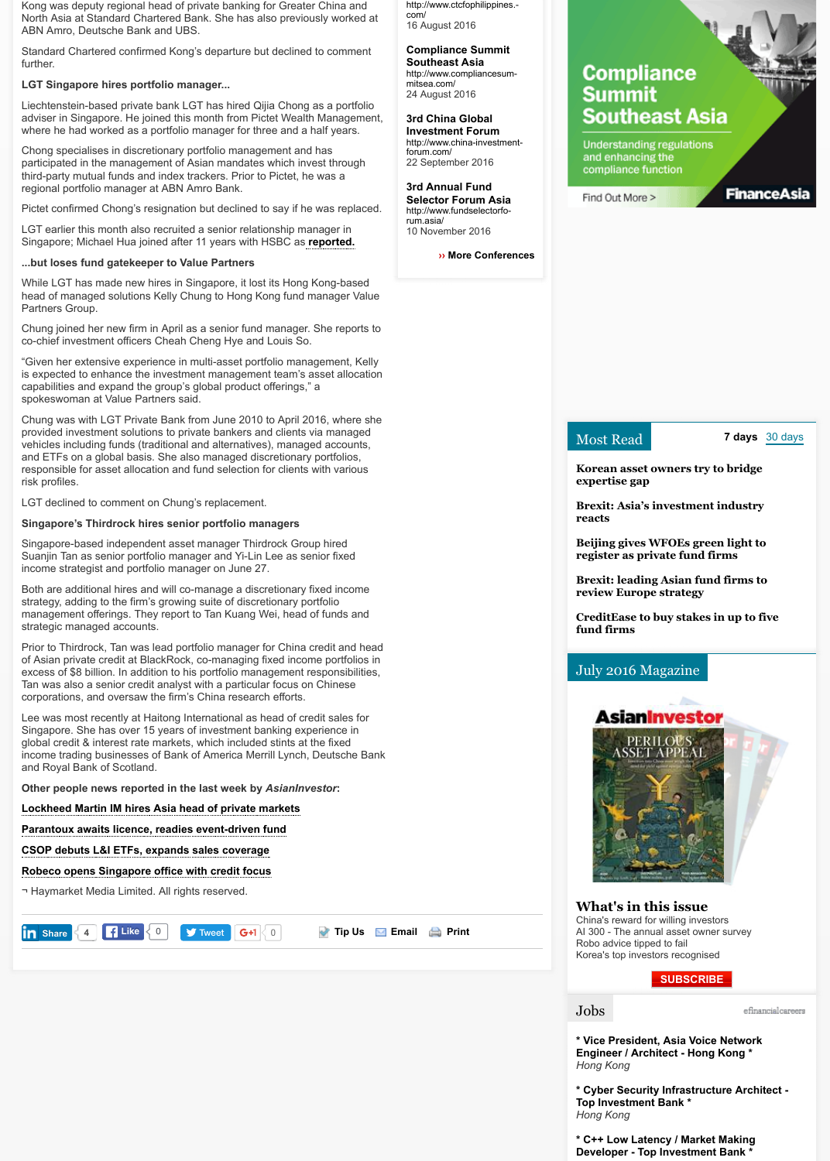### LGT declined to comment on Chung's replacement.

## **Singapore's Thirdrock hires senior portfolio managers**

Singapore-based independent asset manager Thirdrock Group hired Suanjin Tan as senior portfolio manager and Yi-Lin Lee as senior fixed income strategist and portfolio manager on June 27.

Both are additional hires and will co-manage a discretionary fixed income strategy, adding to the firm's growing suite of discretionary portfolio management offerings. They report to Tan Kuang Wei, head of funds and strategic managed accounts.

Prior to Thirdrock, Tan was lead portfolio manager for China credit and head of Asian private credit at BlackRock, co-managing fixed income portfolios in excess of \$8 billion. In addition to his portfolio management responsibilities, Tan was also a senior credit analyst with a particular focus on Chinese corporations, and oversaw the firm's China research efforts.

Lee was most recently at Haitong International as head of credit sales for Singapore. She has over 15 years of investment banking experience in global credit & interest rate markets, which included stints a[t the fixed](http://www.asianinvestor.net/News/427810,weekly-roundup-of-people-news-july-15.aspx) income trading businesses of Bank of America Merrill Lynch, Deutsche Bank and Royal Bank of Scotland.

**Other people news reported in the last week by** *AsianInvestor***:**

**Lockheed Martin IM hires Asia head of private markets**

**Parantoux awaits licence, readies event-driven fund**

**CSOP debuts L&I ETFs, expands sales coverage**

**Robeco opens Singapore office with credit focus**

¬ Haymarket Media Limited. All rights reserved.